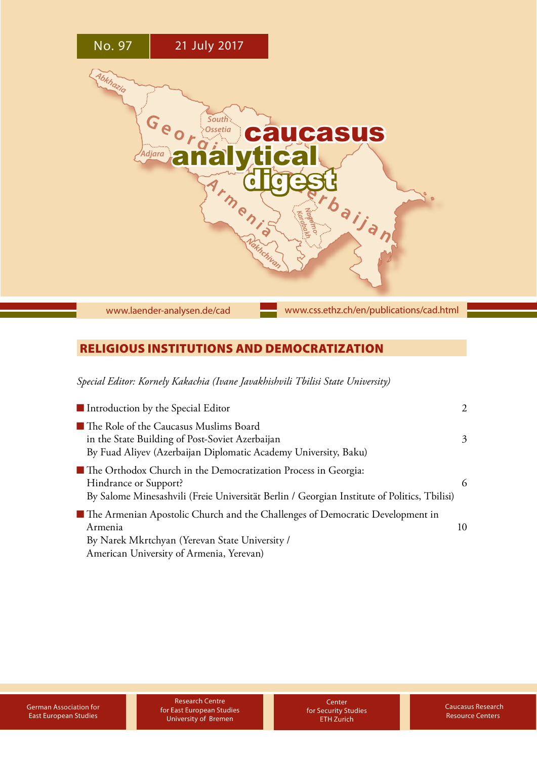

# [www.laender-analysen.de/cad](http://www.laender-analysen.de/cad)

[www.css.ethz.ch/en/publications/cad.html](http://www.css.ethz.ch/en/publications/cad.html)

## RELIGIOUS INSTITUTIONS AND DEMOCRATIZATION

*Special Editor: Kornely Kakachia (Ivane Javakhishvili Tbilisi State University)*

| Introduction by the Special Editor                                                                                                                                                       |    |
|------------------------------------------------------------------------------------------------------------------------------------------------------------------------------------------|----|
| ■ The Role of the Caucasus Muslims Board<br>in the State Building of Post-Soviet Azerbaijan<br>By Fuad Aliyev (Azerbaijan Diplomatic Academy University, Baku)                           | 3  |
| ■ The Orthodox Church in the Democratization Process in Georgia:<br>Hindrance or Support?<br>By Salome Minesashvili (Freie Universität Berlin / Georgian Institute of Politics, Tbilisi) | 6  |
| The Armenian Apostolic Church and the Challenges of Democratic Development in<br>Armenia<br>By Narek Mkrtchyan (Yerevan State University /<br>American University of Armenia, Yerevan)   | 10 |

Research Centre for East European Studies University of Bremen

**Center** for Security Studies ETH Zurich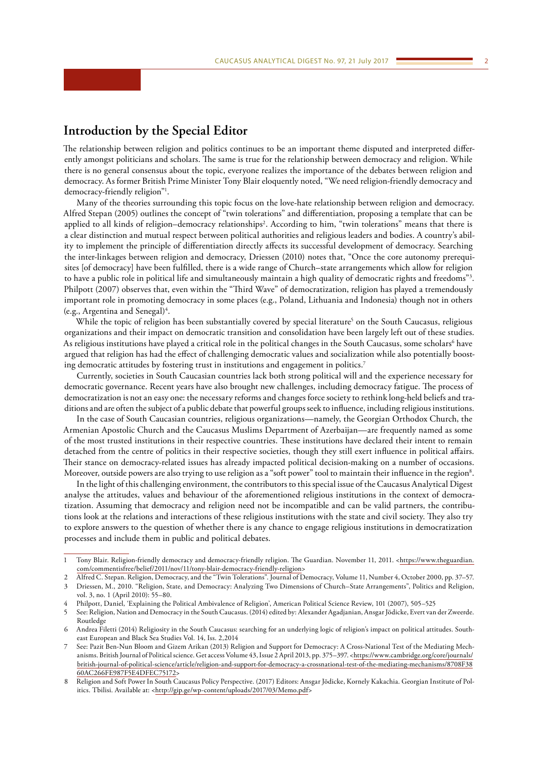## <span id="page-1-0"></span>**Introduction by the Special Editor**

The relationship between religion and politics continues to be an important theme disputed and interpreted differently amongst politicians and scholars. The same is true for the relationship between democracy and religion. While there is no general consensus about the topic, everyone realizes the importance of the debates between religion and democracy. As former British Prime Minister Tony Blair eloquently noted, "We need religion-friendly democracy and democracy-friendly religion"1 .

Many of the theories surrounding this topic focus on the love-hate relationship between religion and democracy. Alfred Stepan (2005) outlines the concept of "twin tolerations" and differentiation, proposing a template that can be applied to all kinds of religion–democracy relationships<sup>2</sup>. According to him, "twin tolerations" means that there is a clear distinction and mutual respect between political authorities and religious leaders and bodies. A country's ability to implement the principle of differentiation directly affects its successful development of democracy. Searching the inter-linkages between religion and democracy, Driessen (2010) notes that, "Once the core autonomy prerequisites [of democracy] have been fulfilled, there is a wide range of Church–state arrangements which allow for religion to have a public role in political life and simultaneously maintain a high quality of democratic rights and freedoms"3 . Philpott (2007) observes that, even within the "Third Wave" of democratization, religion has played a tremendously important role in promoting democracy in some places (e.g., Poland, Lithuania and Indonesia) though not in others (e.g., Argentina and Senegal)<sup>4</sup>.

While the topic of religion has been substantially covered by special literature<sup>5</sup> on the South Caucasus, religious organizations and their impact on democratic transition and consolidation have been largely left out of these studies. As religious institutions have played a critical role in the political changes in the South Caucasus, some scholars<sup>6</sup> have argued that religion has had the effect of challenging democratic values and socialization while also potentially boosting democratic attitudes by fostering trust in institutions and engagement in politics.<sup>7</sup>

Currently, societies in South Caucasian countries lack both strong political will and the experience necessary for democratic governance. Recent years have also brought new challenges, including democracy fatigue. The process of democratization is not an easy one: the necessary reforms and changes force society to rethink long-held beliefs and traditions and are often the subject of a public debate that powerful groups seek to influence, including religious institutions.

In the case of South Caucasian countries, religious organizations—namely, the Georgian Orthodox Church, the Armenian Apostolic Church and the Caucasus Muslims Department of Azerbaijan—are frequently named as some of the most trusted institutions in their respective countries. These institutions have declared their intent to remain detached from the centre of politics in their respective societies, though they still exert influence in political affairs. Their stance on democracy-related issues has already impacted political decision-making on a number of occasions. Moreover, outside powers are also trying to use religion as a "soft power" tool to maintain their influence in the region $^{\rm 8}.$ 

In the light of this challenging environment, the contributors to this special issue of the Caucasus Analytical Digest analyse the attitudes, values and behaviour of the aforementioned religious institutions in the context of democratization. Assuming that democracy and religion need not be incompatible and can be valid partners, the contributions look at the relations and interactions of these religious institutions with the state and civil society. They also try to explore answers to the question of whether there is any chance to engage religious institutions in democratization processes and include them in public and political debates.

- 2 Alfred C. Stepan. Religion, Democracy, and the "Twin Tolerations". Journal of Democracy, Volume 11, Number 4, October 2000, pp. 37–57.
- 3 Driessen, M., 2010. "Religion, State, and Democracy: Analyzing Two Dimensions of Church–State Arrangements", Politics and Religion, vol. 3, no. 1 (April 2010): 55–80.

<sup>1</sup> Tony Blair. Religion-friendly democracy and democracy-friendly religion. The Guardian. November 11, 2011. [<https://www.theguardian.](https://www.theguardian.com/commentisfree/belief/2011/nov/11/tony-blair-democracy-friendly-religion) [com/commentisfree/belief/2011/nov/11/tony-blair-democracy-friendly-religion>](https://www.theguardian.com/commentisfree/belief/2011/nov/11/tony-blair-democracy-friendly-religion)

<sup>4</sup> Philpott, Daniel, 'Explaining the Political Ambivalence of Religion', American Political Science Review, 101 (2007), 505–525

<sup>5</sup> See: Religion, Nation and Democracy in the South Caucasus. (2014) edited by: Alexander Agadjanian, Ansgar Jödicke, Evert van der Zweerde. Routledge

<sup>6</sup> Andrea Filetti (2014) Religiosity in the South Caucasus: searching for an underlying logic of religion's impact on political attitudes. Southeast European and Black Sea Studies Vol. 14, Iss. 2,2014

<sup>7</sup> See: Pazit Ben-Nun Bloom and Gizem Arikan (2013) Religion and Support for Democracy: A Cross-National Test of the Mediating Mechanisms. British Journal of Political science. Get access Volume 43, Issue 2 April 2013, pp. 375–397. <[https://www.cambridge.org/core/journals/](https://www.cambridge.org/core/journals/british-journal-of-political-science/article/religion-and-support-for-democracy-a-crossnational-test-of-the-mediating-mechanisms/8708F3860AC266FE987F5E4DFEC75172) [british-journal-of-political-science/article/religion-and-support-for-democracy-a-crossnational-test-of-the-mediating-mechanisms/8708F38](https://www.cambridge.org/core/journals/british-journal-of-political-science/article/religion-and-support-for-democracy-a-crossnational-test-of-the-mediating-mechanisms/8708F3860AC266FE987F5E4DFEC75172) [60AC266FE987F5E4DFEC75172](https://www.cambridge.org/core/journals/british-journal-of-political-science/article/religion-and-support-for-democracy-a-crossnational-test-of-the-mediating-mechanisms/8708F3860AC266FE987F5E4DFEC75172)>

<sup>8</sup> Religion and Soft Power In South Caucasus Policy Perspective. (2017) Editors: Ansgar Jödicke, Kornely Kakachia. Georgian Institute of Politics. Tbilisi. Available at: <[http://gip.ge/wp-content/uploads/2017/03/Memo.pdf>](http://gip.ge/wp-content/uploads/2017/03/Memo.pdf)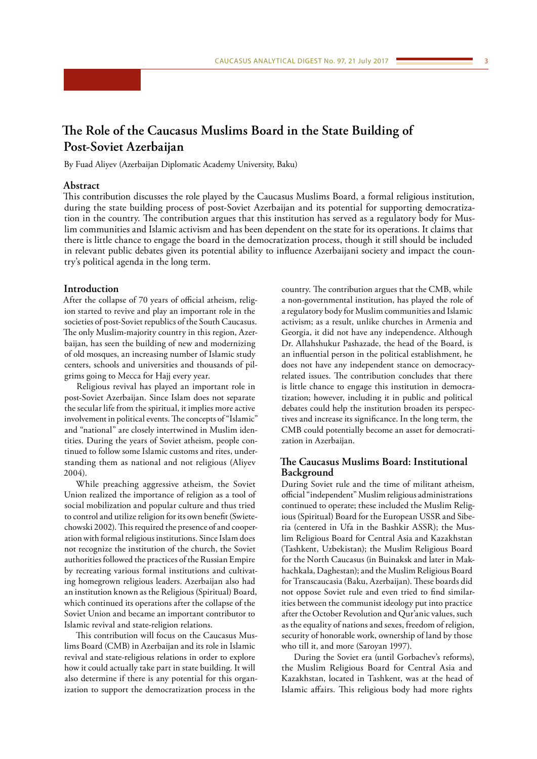# <span id="page-2-0"></span>**The Role of the Caucasus Muslims Board in the State Building of Post-Soviet Azerbaijan**

By Fuad Aliyev (Azerbaijan Diplomatic Academy University, Baku)

## **Abstract**

This contribution discusses the role played by the Caucasus Muslims Board, a formal religious institution, during the state building process of post-Soviet Azerbaijan and its potential for supporting democratization in the country. The contribution argues that this institution has served as a regulatory body for Muslim communities and Islamic activism and has been dependent on the state for its operations. It claims that there is little chance to engage the board in the democratization process, though it still should be included in relevant public debates given its potential ability to influence Azerbaijani society and impact the country's political agenda in the long term.

### **Introduction**

After the collapse of 70 years of official atheism, religion started to revive and play an important role in the societies of post-Soviet republics of the South Caucasus. The only Muslim-majority country in this region, Azerbaijan, has seen the building of new and modernizing of old mosques, an increasing number of Islamic study centers, schools and universities and thousands of pilgrims going to Mecca for Hajj every year.

Religious revival has played an important role in post-Soviet Azerbaijan. Since Islam does not separate the secular life from the spiritual, it implies more active involvement in political events. The concepts of "Islamic" and "national" are closely intertwined in Muslim identities. During the years of Soviet atheism, people continued to follow some Islamic customs and rites, understanding them as national and not religious (Aliyev 2004).

While preaching aggressive atheism, the Soviet Union realized the importance of religion as a tool of social mobilization and popular culture and thus tried to control and utilize religion for its own benefit (Swietechowski 2002). This required the presence of and cooperation with formal religious institutions. Since Islam does not recognize the institution of the church, the Soviet authorities followed the practices of the Russian Empire by recreating various formal institutions and cultivating homegrown religious leaders. Azerbaijan also had an institution known as the Religious (Spiritual) Board, which continued its operations after the collapse of the Soviet Union and became an important contributor to Islamic revival and state-religion relations.

This contribution will focus on the Caucasus Muslims Board (CMB) in Azerbaijan and its role in Islamic revival and state-religious relations in order to explore how it could actually take part in state building. It will also determine if there is any potential for this organization to support the democratization process in the

country. The contribution argues that the CMB, while a non-governmental institution, has played the role of a regulatory body for Muslim communities and Islamic activism; as a result, unlike churches in Armenia and Georgia, it did not have any independence. Although Dr. Allahshukur Pashazade, the head of the Board, is an influential person in the political establishment, he does not have any independent stance on democracyrelated issues. The contribution concludes that there is little chance to engage this institution in democratization; however, including it in public and political debates could help the institution broaden its perspectives and increase its significance. In the long term, the CMB could potentially become an asset for democratization in Azerbaijan.

## **The Caucasus Muslims Board: Institutional Background**

During Soviet rule and the time of militant atheism, official "independent" Muslim religious administrations continued to operate; these included the Muslim Religious (Spiritual) Board for the European USSR and Siberia (centered in Ufa in the Bashkir ASSR); the Muslim Religious Board for Central Asia and Kazakhstan (Tashkent, Uzbekistan); the Muslim Religious Board for the North Caucasus (in Buinaksk and later in Makhachkala, Daghestan); and the Muslim Religious Board for Transcaucasia (Baku, Azerbaijan). These boards did not oppose Soviet rule and even tried to find similarities between the communist ideology put into practice after the October Revolution and Qur'anic values, such as the equality of nations and sexes, freedom of religion, security of honorable work, ownership of land by those who till it, and more (Saroyan 1997).

During the Soviet era (until Gorbachev's reforms), the Muslim Religious Board for Central Asia and Kazakhstan, located in Tashkent, was at the head of Islamic affairs. This religious body had more rights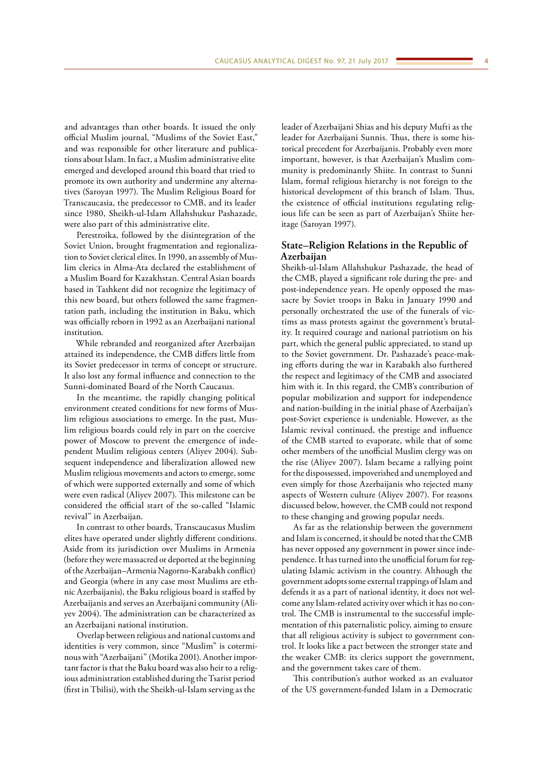and advantages than other boards. It issued the only official Muslim journal, "Muslims of the Soviet East," and was responsible for other literature and publications about Islam. In fact, a Muslim administrative elite emerged and developed around this board that tried to promote its own authority and undermine any alternatives (Saroyan 1997). The Muslim Religious Board for Transcaucasia, the predecessor to CMB, and its leader since 1980, Sheikh-ul-Islam Allahshukur Pashazade, were also part of this administrative elite.

Perestroika, followed by the disintegration of the Soviet Union, brought fragmentation and regionalization to Soviet clerical elites. In 1990, an assembly of Muslim clerics in Alma-Ata declared the establishment of a Muslim Board for Kazakhstan. Central Asian boards based in Tashkent did not recognize the legitimacy of this new board, but others followed the same fragmentation path, including the institution in Baku, which was officially reborn in 1992 as an Azerbaijani national institution.

While rebranded and reorganized after Azerbaijan attained its independence, the CMB differs little from its Soviet predecessor in terms of concept or structure. It also lost any formal influence and connection to the Sunni-dominated Board of the North Caucasus.

In the meantime, the rapidly changing political environment created conditions for new forms of Muslim religious associations to emerge. In the past, Muslim religious boards could rely in part on the coercive power of Moscow to prevent the emergence of independent Muslim religious centers (Aliyev 2004). Subsequent independence and liberalization allowed new Muslim religious movements and actors to emerge, some of which were supported externally and some of which were even radical (Aliyev 2007). This milestone can be considered the official start of the so-called "Islamic revival" in Azerbaijan.

In contrast to other boards, Transcaucasus Muslim elites have operated under slightly different conditions. Aside from its jurisdiction over Muslims in Armenia (before they were massacred or deported at the beginning of the Azerbaijan–Armenia Nagorno-Karabakh conflict) and Georgia (where in any case most Muslims are ethnic Azerbaijanis), the Baku religious board is staffed by Azerbaijanis and serves an Azerbaijani community (Aliyev 2004). The administration can be characterized as an Azerbaijani national institution.

Overlap between religious and national customs and identities is very common, since "Muslim" is coterminous with "Azerbaijani" (Motika 2001). Another important factor is that the Baku board was also heir to a religious administration established during the Tsarist period (first in Tbilisi), with the Sheikh-ul-Islam serving as the

leader of Azerbaijani Shias and his deputy Mufti as the leader for Azerbaijani Sunnis. Thus, there is some historical precedent for Azerbaijanis. Probably even more important, however, is that Azerbaijan's Muslim community is predominantly Shiite. In contrast to Sunni Islam, formal religious hierarchy is not foreign to the historical development of this branch of Islam. Thus, the existence of official institutions regulating religious life can be seen as part of Azerbaijan's Shiite heritage (Saroyan 1997).

## **State–Religion Relations in the Republic of Azerbaijan**

Sheikh-ul-Islam Allahshukur Pashazade, the head of the CMB, played a significant role during the pre- and post-independence years. He openly opposed the massacre by Soviet troops in Baku in January 1990 and personally orchestrated the use of the funerals of victims as mass protests against the government's brutality. It required courage and national patriotism on his part, which the general public appreciated, to stand up to the Soviet government. Dr. Pashazade's peace-making efforts during the war in Karabakh also furthered the respect and legitimacy of the CMB and associated him with it. In this regard, the CMB's contribution of popular mobilization and support for independence and nation-building in the initial phase of Azerbaijan's post-Soviet experience is undeniable. However, as the Islamic revival continued, the prestige and influence of the CMB started to evaporate, while that of some other members of the unofficial Muslim clergy was on the rise (Aliyev 2007). Islam became a rallying point for the dispossessed, impoverished and unemployed and even simply for those Azerbaijanis who rejected many aspects of Western culture (Aliyev 2007). For reasons discussed below, however, the CMB could not respond to these changing and growing popular needs.

As far as the relationship between the government and Islam is concerned, it should be noted that the CMB has never opposed any government in power since independence. It has turned into the unofficial forum for regulating Islamic activism in the country. Although the government adopts some external trappings of Islam and defends it as a part of national identity, it does not welcome any Islam-related activity over which it has no control. The CMB is instrumental to the successful implementation of this paternalistic policy, aiming to ensure that all religious activity is subject to government control. It looks like a pact between the stronger state and the weaker CMB: its clerics support the government, and the government takes care of them.

This contribution's author worked as an evaluator of the US government-funded Islam in a Democratic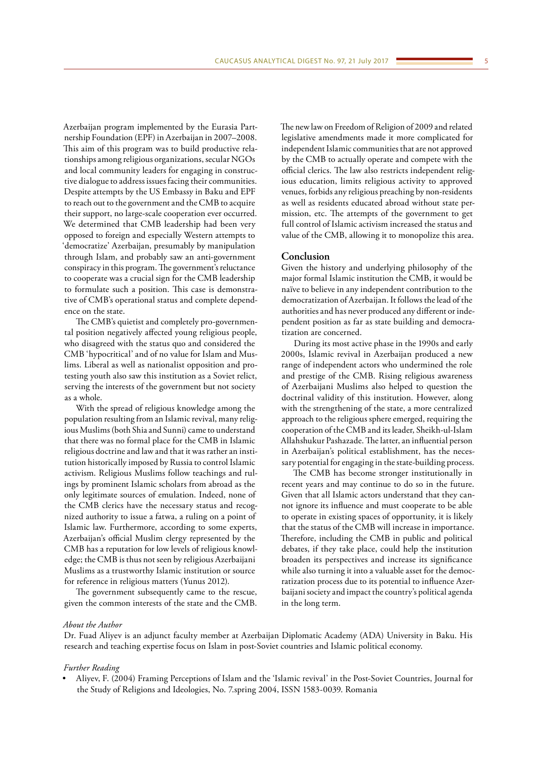Azerbaijan program implemented by the Eurasia Partnership Foundation (EPF) in Azerbaijan in 2007–2008. This aim of this program was to build productive relationships among religious organizations, secular NGOs and local community leaders for engaging in constructive dialogue to address issues facing their communities. Despite attempts by the US Embassy in Baku and EPF to reach out to the government and the CMB to acquire their support, no large-scale cooperation ever occurred. We determined that CMB leadership had been very opposed to foreign and especially Western attempts to 'democratize' Azerbaijan, presumably by manipulation through Islam, and probably saw an anti-government conspiracy in this program. The government's reluctance to cooperate was a crucial sign for the CMB leadership to formulate such a position. This case is demonstrative of CMB's operational status and complete dependence on the state.

The CMB's quietist and completely pro-governmental position negatively affected young religious people, who disagreed with the status quo and considered the CMB 'hypocritical' and of no value for Islam and Muslims. Liberal as well as nationalist opposition and protesting youth also saw this institution as a Soviet relict, serving the interests of the government but not society as a whole.

With the spread of religious knowledge among the population resulting from an Islamic revival, many religious Muslims (both Shia and Sunni) came to understand that there was no formal place for the CMB in Islamic religious doctrine and law and that it was rather an institution historically imposed by Russia to control Islamic activism. Religious Muslims follow teachings and rulings by prominent Islamic scholars from abroad as the only legitimate sources of emulation. Indeed, none of the CMB clerics have the necessary status and recognized authority to issue a fatwa, a ruling on a point of Islamic law. Furthermore, according to some experts, Azerbaijan's official Muslim clergy represented by the CMB has a reputation for low levels of religious knowledge; the CMB is thus not seen by religious Azerbaijani Muslims as a trustworthy Islamic institution or source for reference in religious matters (Yunus 2012).

The government subsequently came to the rescue, given the common interests of the state and the CMB. The new law on Freedom of Religion of 2009 and related legislative amendments made it more complicated for independent Islamic communities that are not approved by the CMB to actually operate and compete with the official clerics. The law also restricts independent religious education, limits religious activity to approved venues, forbids any religious preaching by non-residents as well as residents educated abroad without state permission, etc. The attempts of the government to get full control of Islamic activism increased the status and value of the CMB, allowing it to monopolize this area.

### **Conclusion**

Given the history and underlying philosophy of the major formal Islamic institution the CMB, it would be naïve to believe in any independent contribution to the democratization of Azerbaijan. It follows the lead of the authorities and has never produced any different or independent position as far as state building and democratization are concerned.

During its most active phase in the 1990s and early 2000s, Islamic revival in Azerbaijan produced a new range of independent actors who undermined the role and prestige of the CMB. Rising religious awareness of Azerbaijani Muslims also helped to question the doctrinal validity of this institution. However, along with the strengthening of the state, a more centralized approach to the religious sphere emerged, requiring the cooperation of the CMB and its leader, Sheikh-ul-Islam Allahshukur Pashazade. The latter, an influential person in Azerbaijan's political establishment, has the necessary potential for engaging in the state-building process.

The CMB has become stronger institutionally in recent years and may continue to do so in the future. Given that all Islamic actors understand that they cannot ignore its influence and must cooperate to be able to operate in existing spaces of opportunity, it is likely that the status of the CMB will increase in importance. Therefore, including the CMB in public and political debates, if they take place, could help the institution broaden its perspectives and increase its significance while also turning it into a valuable asset for the democratization process due to its potential to influence Azerbaijani society and impact the country's political agenda in the long term.

#### *About the Author*

Dr. Fuad Aliyev is an adjunct faculty member at Azerbaijan Diplomatic Academy (ADA) University in Baku. His research and teaching expertise focus on Islam in post-Soviet countries and Islamic political economy.

#### *Further Reading*

• Aliyev, F. (2004) Framing Perceptions of Islam and the 'Islamic revival' in the Post-Soviet Countries, Journal for the Study of Religions and Ideologies, No. 7.spring 2004, ISSN 1583-0039. Romania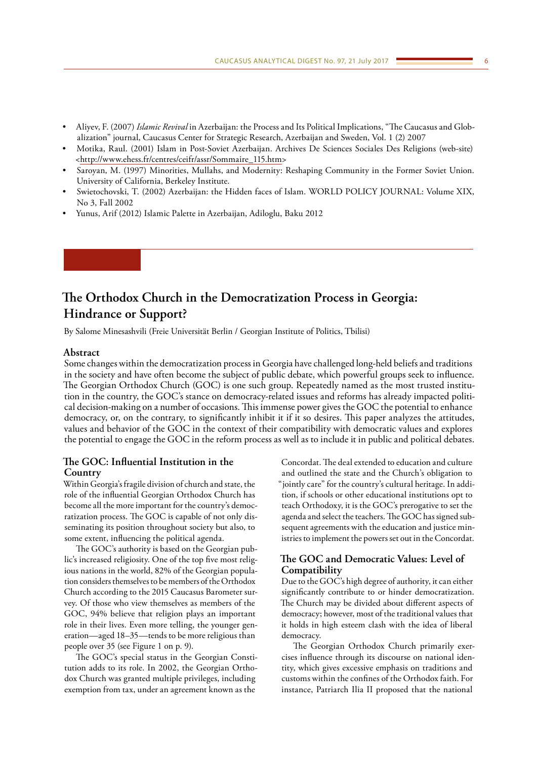- <span id="page-5-0"></span>• Aliyev, F. (2007) *Islamic Revival* in Azerbaijan: the Process and Its Political Implications, "The Caucasus and Globalization" journal, Caucasus Center for Strategic Research, Azerbaijan and Sweden, Vol. 1 (2) 2007
- Motika, Raul. (2001) Islam in Post-Soviet Azerbaijan. Archives De Sciences Sociales Des Religions (web-site) <[http://www.ehess.fr/centres/ceifr/assr/Sommaire\\_115.htm>](http://www.ehess.fr/centres/ceifr/assr/Sommaire_115.htm)
- Saroyan, M. (1997) Minorities, Mullahs, and Modernity: Reshaping Community in the Former Soviet Union. University of California, Berkeley Institute.
- Swietochovski, T. (2002) Azerbaijan: the Hidden faces of Islam. WORLD POLICY JOURNAL: Volume XIX, No 3, Fall 2002
- Yunus, Arif (2012) Islamic Palette in Azerbaijan, Adiloglu, Baku 2012

# **The Orthodox Church in the Democratization Process in Georgia: Hindrance or Support?**

By Salome Minesashvili (Freie Universität Berlin / Georgian Institute of Politics, Tbilisi)

## **Abstract**

Some changes within the democratization process in Georgia have challenged long-held beliefs and traditions in the society and have often become the subject of public debate, which powerful groups seek to influence. The Georgian Orthodox Church (GOC) is one such group. Repeatedly named as the most trusted institution in the country, the GOC's stance on democracy-related issues and reforms has already impacted political decision-making on a number of occasions. This immense power gives the GOC the potential to enhance democracy, or, on the contrary, to significantly inhibit it if it so desires. This paper analyzes the attitudes, values and behavior of the GOC in the context of their compatibility with democratic values and explores the potential to engage the GOC in the reform process as well as to include it in public and political debates.

## **The GOC: Influential Institution in the Country**

Within Georgia's fragile division of church and state, the role of the influential Georgian Orthodox Church has become all the more important for the country's democratization process. The GOC is capable of not only disseminating its position throughout society but also, to some extent, influencing the political agenda.

The GOC's authority is based on the Georgian public's increased religiosity. One of the top five most religious nations in the world, 82% of the Georgian population considers themselves to be members of the Orthodox Church according to the 2015 Caucasus Barometer survey. Of those who view themselves as members of the GOC, 94% believe that religion plays an important role in their lives. Even more telling, the younger generation—aged 18–35—tends to be more religious than people over 35 (see Figure 1 on p. 9).

The GOC's special status in the Georgian Constitution adds to its role. In 2002, the Georgian Orthodox Church was granted multiple privileges, including exemption from tax, under an agreement known as the

Concordat. The deal extended to education and culture and outlined the state and the Church's obligation to "jointly care" for the country's cultural heritage. In addition, if schools or other educational institutions opt to teach Orthodoxy, it is the GOC's prerogative to set the agenda and select the teachers. The GOC has signed subsequent agreements with the education and justice ministries to implement the powers set out in the Concordat.

## **The GOC and Democratic Values: Level of Compatibility**

Due to the GOC's high degree of authority, it can either significantly contribute to or hinder democratization. The Church may be divided about different aspects of democracy; however, most of the traditional values that it holds in high esteem clash with the idea of liberal democracy.

The Georgian Orthodox Church primarily exercises influence through its discourse on national identity, which gives excessive emphasis on traditions and customs within the confines of the Orthodox faith. For instance, Patriarch Ilia II proposed that the national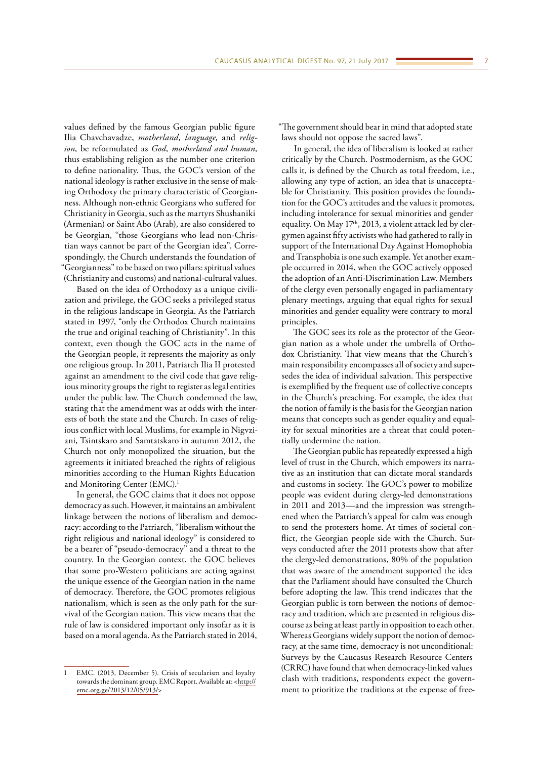values defined by the famous Georgian public figure Ilia Chavchavadze, *motherland, language,* and *religion,* be reformulated as *God, motherland and human,*  thus establishing religion as the number one criterion to define nationality. Thus, the GOC's version of the national ideology is rather exclusive in the sense of making Orthodoxy the primary characteristic of Georgianness. Although non-ethnic Georgians who suffered for Christianity in Georgia, such as the martyrs Shushaniki (Armenian) or Saint Abo (Arab), are also considered to be Georgian, "those Georgians who lead non-Christian ways cannot be part of the Georgian idea". Correspondingly, the Church understands the foundation of "Georgianness" to be based on two pillars: spiritual values (Christianity and customs) and national-cultural values.

Based on the idea of Orthodoxy as a unique civilization and privilege, the GOC seeks a privileged status in the religious landscape in Georgia. As the Patriarch stated in 1997, "only the Orthodox Church maintains the true and original teaching of Christianity". In this context, even though the GOC acts in the name of the Georgian people, it represents the majority as only one religious group. In 2011, Patriarch Ilia II protested against an amendment to the civil code that gave religious minority groups the right to register as legal entities under the public law. The Church condemned the law, stating that the amendment was at odds with the interests of both the state and the Church. In cases of religious conflict with local Muslims, for example in Nigvziani, Tsintskaro and Samtatskaro in autumn 2012, the Church not only monopolized the situation, but the agreements it initiated breached the rights of religious minorities according to the Human Rights Education and Monitoring Center (EMC).<sup>1</sup>

In general, the GOC claims that it does not oppose democracy as such. However, it maintains an ambivalent linkage between the notions of liberalism and democracy: according to the Patriarch, "liberalism without the right religious and national ideology" is considered to be a bearer of "pseudo-democracy" and a threat to the country. In the Georgian context, the GOC believes that some pro-Western politicians are acting against the unique essence of the Georgian nation in the name of democracy. Therefore, the GOC promotes religious nationalism, which is seen as the only path for the survival of the Georgian nation. This view means that the rule of law is considered important only insofar as it is based on a moral agenda. As the Patriarch stated in 2014, "The government should bear in mind that adopted state laws should not oppose the sacred laws".

In general, the idea of liberalism is looked at rather critically by the Church. Postmodernism, as the GOC calls it, is defined by the Church as total freedom, i.e., allowing any type of action, an idea that is unacceptable for Christianity. This position provides the foundation for the GOC's attitudes and the values it promotes, including intolerance for sexual minorities and gender equality. On May 17<sup>th</sup>, 2013, a violent attack led by clergymen against fifty activists who had gathered to rally in support of the International Day Against Homophobia and Transphobia is one such example. Yet another example occurred in 2014, when the GOC actively opposed the adoption of an Anti-Discrimination Law. Members of the clergy even personally engaged in parliamentary plenary meetings, arguing that equal rights for sexual minorities and gender equality were contrary to moral principles.

The GOC sees its role as the protector of the Georgian nation as a whole under the umbrella of Orthodox Christianity. That view means that the Church's main responsibility encompasses all of society and supersedes the idea of individual salvation. This perspective is exemplified by the frequent use of collective concepts in the Church's preaching. For example, the idea that the notion of family is the basis for the Georgian nation means that concepts such as gender equality and equality for sexual minorities are a threat that could potentially undermine the nation.

The Georgian public has repeatedly expressed a high level of trust in the Church, which empowers its narrative as an institution that can dictate moral standards and customs in society. The GOC's power to mobilize people was evident during clergy-led demonstrations in 2011 and 2013—and the impression was strengthened when the Patriarch's appeal for calm was enough to send the protesters home. At times of societal conflict, the Georgian people side with the Church. Surveys conducted after the 2011 protests show that after the clergy-led demonstrations, 80% of the population that was aware of the amendment supported the idea that the Parliament should have consulted the Church before adopting the law. This trend indicates that the Georgian public is torn between the notions of democracy and tradition, which are presented in religious discourse as being at least partly in opposition to each other. Whereas Georgians widely support the notion of democracy, at the same time, democracy is not unconditional: Surveys by the Caucasus Research Resource Centers (CRRC) have found that when democracy-linked values clash with traditions, respondents expect the government to prioritize the traditions at the expense of free-

EMC. (2013, December 5). Crisis of secularism and loyalty towards the dominant group. EMC Report. Available at: <[http://](http://emc.org.ge/2013/12/05/913/) [emc.org.ge/2013/12/05/913/](http://emc.org.ge/2013/12/05/913/)>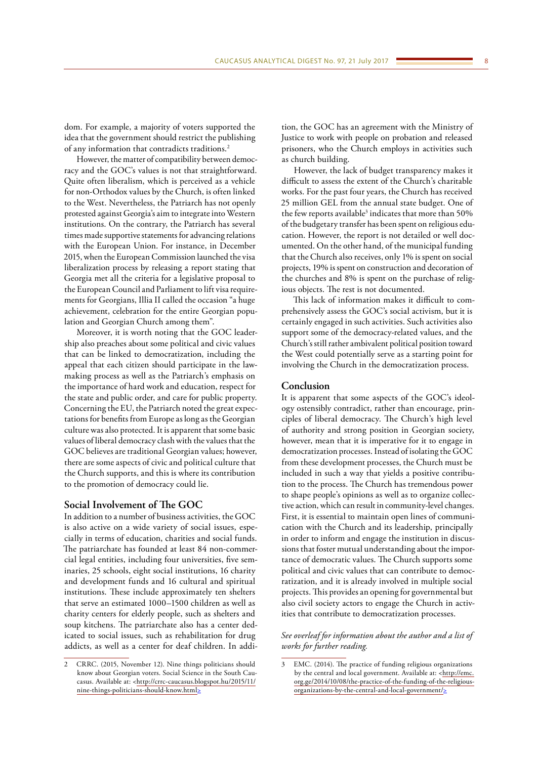dom. For example, a majority of voters supported the idea that the government should restrict the publishing of any information that contradicts traditions.2

However, the matter of compatibility between democracy and the GOC's values is not that straightforward. Quite often liberalism, which is perceived as a vehicle for non-Orthodox values by the Church, is often linked to the West. Nevertheless, the Patriarch has not openly protested against Georgia's aim to integrate into Western institutions. On the contrary, the Patriarch has several times made supportive statements for advancing relations with the European Union. For instance, in December 2015, when the European Commission launched the visa liberalization process by releasing a report stating that Georgia met all the criteria for a legislative proposal to the European Council and Parliament to lift visa requirements for Georgians, Illia II called the occasion "a huge achievement, celebration for the entire Georgian population and Georgian Church among them".

Moreover, it is worth noting that the GOC leadership also preaches about some political and civic values that can be linked to democratization, including the appeal that each citizen should participate in the lawmaking process as well as the Patriarch's emphasis on the importance of hard work and education, respect for the state and public order, and care for public property. Concerning the EU, the Patriarch noted the great expectations for benefits from Europe as long as the Georgian culture was also protected. It is apparent that some basic values of liberal democracy clash with the values that the GOC believes are traditional Georgian values; however, there are some aspects of civic and political culture that the Church supports, and this is where its contribution to the promotion of democracy could lie.

### **Social Involvement of The GOC**

In addition to a number of business activities, the GOC is also active on a wide variety of social issues, especially in terms of education, charities and social funds. The patriarchate has founded at least 84 non-commercial legal entities, including four universities, five seminaries, 25 schools, eight social institutions, 16 charity and development funds and 16 cultural and spiritual institutions. These include approximately ten shelters that serve an estimated 1000–1500 children as well as charity centers for elderly people, such as shelters and soup kitchens. The patriarchate also has a center dedicated to social issues, such as rehabilitation for drug addicts, as well as a center for deaf children. In addi-

tion, the GOC has an agreement with the Ministry of Justice to work with people on probation and released prisoners, who the Church employs in activities such as church building.

However, the lack of budget transparency makes it difficult to assess the extent of the Church's charitable works. For the past four years, the Church has received 25 million GEL from the annual state budget. One of the few reports available<sup>3</sup> indicates that more than 50% of the budgetary transfer has been spent on religious education. However, the report is not detailed or well documented. On the other hand, of the municipal funding that the Church also receives, only 1% is spent on social projects, 19% is spent on construction and decoration of the churches and 8% is spent on the purchase of religious objects. The rest is not documented.

This lack of information makes it difficult to comprehensively assess the GOC's social activism, but it is certainly engaged in such activities. Such activities also support some of the democracy-related values, and the Church's still rather ambivalent political position toward the West could potentially serve as a starting point for involving the Church in the democratization process.

### **Conclusion**

It is apparent that some aspects of the GOC's ideology ostensibly contradict, rather than encourage, principles of liberal democracy. The Church's high level of authority and strong position in Georgian society, however, mean that it is imperative for it to engage in democratization processes. Instead of isolating the GOC from these development processes, the Church must be included in such a way that yields a positive contribution to the process. The Church has tremendous power to shape people's opinions as well as to organize collective action, which can result in community-level changes. First, it is essential to maintain open lines of communication with the Church and its leadership, principally in order to inform and engage the institution in discussions that foster mutual understanding about the importance of democratic values. The Church supports some political and civic values that can contribute to democratization, and it is already involved in multiple social projects. This provides an opening for governmental but also civil society actors to engage the Church in activities that contribute to democratization processes.

## *See overleaf for information about the author and a list of works for further reading.*

<sup>2</sup> CRRC. (2015, November 12). Nine things politicians should know about Georgian voters. Social Science in the South Cau-casus. Available at: [<http://crrc-caucasus.blogspot.hu/2015/11/](http://crrc-caucasus.blogspot.hu/2015/11/nine-things-politicians-should-know.html) [nine-things-politicians-should-know.html>](http://crrc-caucasus.blogspot.hu/2015/11/nine-things-politicians-should-know.html)

<sup>3</sup> EMC. (2014). The practice of funding religious organizations by the central and local government. Available at: <[http://emc.](http://emc.org.ge/2014/10/08/the-practice-of-the-funding-of-the-religious-organizations-by-the-central-and-local-government/) [org.ge/2014/10/08/the-practice-of-the-funding-of-the-religious](http://emc.org.ge/2014/10/08/the-practice-of-the-funding-of-the-religious-organizations-by-the-central-and-local-government/)[organizations-by-the-central-and-local-government/>](http://emc.org.ge/2014/10/08/the-practice-of-the-funding-of-the-religious-organizations-by-the-central-and-local-government/)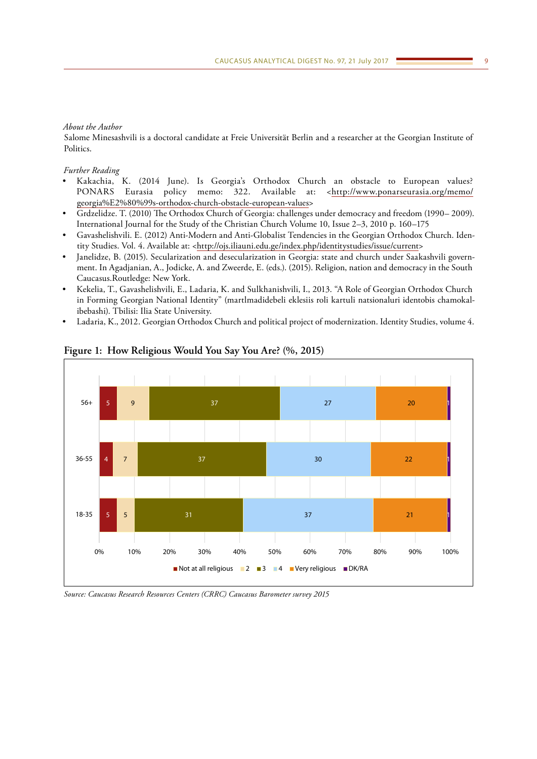### *About the Author*

Salome Minesashvili is a doctoral candidate at Freie Universität Berlin and a researcher at the Georgian Institute of Politics.

## *Further Reading*

- Kakachia, K. (2014 June). Is Georgia's Orthodox Church an obstacle to European values? PONARS Eurasia policy memo: 322. Available at: <[http://www.ponarseurasia.org/memo/](http://www.ponarseurasia.org/memo/georgia%E2%80%99s-orthodox-church-obstacle-european-values) [georgia%E2%80%99s-orthodox-church-obstacle-european-values>](http://www.ponarseurasia.org/memo/georgia%E2%80%99s-orthodox-church-obstacle-european-values)
- Grdzelidze. T. (2010) The Orthodox Church of Georgia: challenges under democracy and freedom (1990– 2009). International Journal for the Study of the Christian Church Volume 10, Issue 2–3, 2010 p. 160–175
- Gavashelishvili. E. (2012) Anti-Modern and Anti-Globalist Tendencies in the Georgian Orthodox Church. Iden-tity Studies. Vol. 4. Available at: [<http://ojs.iliauni.edu.ge/index.php/identitystudies/issue/current](http://ojs.iliauni.edu.ge/index.php/identitystudies/issue/current)>
- Janelidze, B. (2015). Secularization and desecularization in Georgia: state and church under Saakashvili government. In Agadjanian, A., Jodicke, A. and Zweerde, E. (eds.). (2015). Religion, nation and democracy in the South Caucasus.Routledge: New York.
- Kekelia, T., Gavashelishvili, E., Ladaria, K. and Sulkhanishvili, I., 2013. "A Role of Georgian Orthodox Church in Forming Georgian National Identity" (martlmadidebeli eklesiis roli kartuli natsionaluri identobis chamokalibebashi). Tbilisi: Ilia State University.
- Ladaria, K., 2012. Georgian Orthodox Church and political project of modernization. Identity Studies, volume 4.



**Figure 1: How Religious Would You Say You Are? (%, 2015)**

*Source: Caucasus Research Resources Centers (CRRC) Caucasus Barometer survey 2015*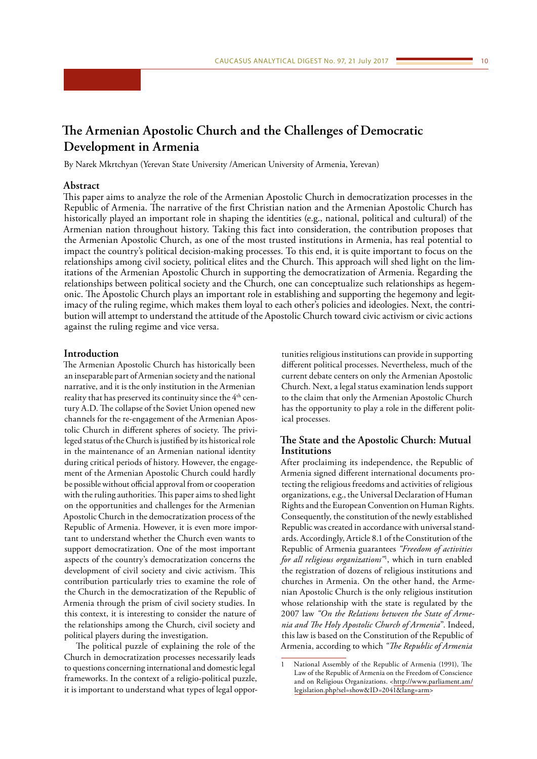## <span id="page-9-0"></span>**The Armenian Apostolic Church and the Challenges of Democratic Development in Armenia**

By Narek Mkrtchyan (Yerevan State University /American University of Armenia, Yerevan)

### **Abstract**

This paper aims to analyze the role of the Armenian Apostolic Church in democratization processes in the Republic of Armenia. The narrative of the first Christian nation and the Armenian Apostolic Church has historically played an important role in shaping the identities (e.g., national, political and cultural) of the Armenian nation throughout history. Taking this fact into consideration, the contribution proposes that the Armenian Apostolic Church, as one of the most trusted institutions in Armenia, has real potential to impact the country's political decision-making processes. To this end, it is quite important to focus on the relationships among civil society, political elites and the Church. This approach will shed light on the limitations of the Armenian Apostolic Church in supporting the democratization of Armenia. Regarding the relationships between political society and the Church, one can conceptualize such relationships as hegemonic. The Apostolic Church plays an important role in establishing and supporting the hegemony and legitimacy of the ruling regime, which makes them loyal to each other's policies and ideologies. Next, the contribution will attempt to understand the attitude of the Apostolic Church toward civic activism or civic actions against the ruling regime and vice versa.

#### **Introduction**

The Armenian Apostolic Church has historically been an inseparable part of Armenian society and the national narrative, and it is the only institution in the Armenian reality that has preserved its continuity since the 4<sup>th</sup> century A.D. The collapse of the Soviet Union opened new channels for the re-engagement of the Armenian Apostolic Church in different spheres of society. The privileged status of the Church is justified by its historical role in the maintenance of an Armenian national identity during critical periods of history. However, the engagement of the Armenian Apostolic Church could hardly be possible without official approval from or cooperation with the ruling authorities. This paper aims to shed light on the opportunities and challenges for the Armenian Apostolic Church in the democratization process of the Republic of Armenia. However, it is even more important to understand whether the Church even wants to support democratization. One of the most important aspects of the country's democratization concerns the development of civil society and civic activism. This contribution particularly tries to examine the role of the Church in the democratization of the Republic of Armenia through the prism of civil society studies. In this context, it is interesting to consider the nature of the relationships among the Church, civil society and political players during the investigation.

The political puzzle of explaining the role of the Church in democratization processes necessarily leads to questions concerning international and domestic legal frameworks. In the context of a religio-political puzzle, it is important to understand what types of legal opportunities religious institutions can provide in supporting different political processes. Nevertheless, much of the current debate centers on only the Armenian Apostolic Church. Next, a legal status examination lends support to the claim that only the Armenian Apostolic Church has the opportunity to play a role in the different political processes.

## **The State and the Apostolic Church: Mutual Institutions**

After proclaiming its independence, the Republic of Armenia signed different international documents protecting the religious freedoms and activities of religious organizations, e.g., the Universal Declaration of Human Rights and the European Convention on Human Rights. Consequently, the constitution of the newly established Republic was created in accordance with universal standards. Accordingly, Article 8.1 of the Constitution of the Republic of Armenia guarantees *"Freedom of activities for all religious organizations"*<sup>1</sup> , which in turn enabled the registration of dozens of religious institutions and churches in Armenia. On the other hand, the Armenian Apostolic Church is the only religious institution whose relationship with the state is regulated by the 2007 law *"On the Relations between the State of Armenia and The Holy Apostolic Church of Armenia*". Indeed, this law is based on the Constitution of the Republic of Armenia, according to which *"The Republic of Armenia* 

<sup>1</sup> National Assembly of the Republic of Armenia (1991), The Law of the Republic of Armenia on the Freedom of Conscience and on Religious Organizations. [<http://www.parliament.am/](http://www.parliament.am/legislation.php?sel=show&ID=2041&lang=arm) [legislation.php?sel=show&ID=2041&lang=arm](http://www.parliament.am/legislation.php?sel=show&ID=2041&lang=arm)>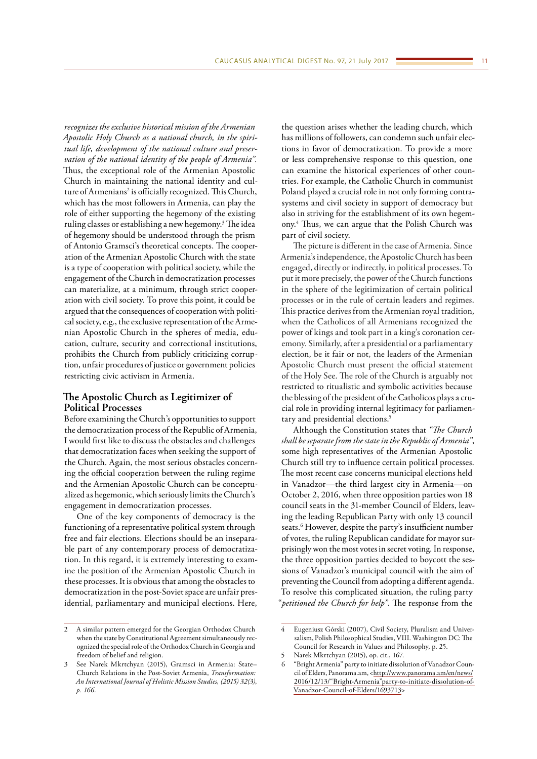*recognizes the exclusive historical mission of the Armenian Apostolic Holy Church as a national church, in the spiritual life, development of the national culture and preservation of the national identity of the people of Armenia".*  Thus, the exceptional role of the Armenian Apostolic Church in maintaining the national identity and culture of Armenians<sup>2</sup> is officially recognized. This Church, which has the most followers in Armenia, can play the role of either supporting the hegemony of the existing ruling classes or establishing a new hegemony.<sup>3</sup> The idea of hegemony should be understood through the prism of Antonio Gramsci's theoretical concepts. The cooperation of the Armenian Apostolic Church with the state is a type of cooperation with political society, while the engagement of the Church in democratization processes can materialize, at a minimum, through strict cooperation with civil society. To prove this point, it could be argued that the consequences of cooperation with political society, e.g., the exclusive representation of the Armenian Apostolic Church in the spheres of media, education, culture, security and correctional institutions, prohibits the Church from publicly criticizing corruption, unfair procedures of justice or government policies restricting civic activism in Armenia.

## **The Apostolic Church as Legitimizer of Political Processes**

Before examining the Church's opportunities to support the democratization process of the Republic of Armenia, I would first like to discuss the obstacles and challenges that democratization faces when seeking the support of the Church. Again, the most serious obstacles concerning the official cooperation between the ruling regime and the Armenian Apostolic Church can be conceptualized as hegemonic, which seriously limits the Church's engagement in democratization processes.

One of the key components of democracy is the functioning of a representative political system through free and fair elections. Elections should be an inseparable part of any contemporary process of democratization. In this regard, it is extremely interesting to examine the position of the Armenian Apostolic Church in these processes. It is obvious that among the obstacles to democratization in the post-Soviet space are unfair presidential, parliamentary and municipal elections. Here,

the question arises whether the leading church, which has millions of followers, can condemn such unfair elections in favor of democratization. To provide a more or less comprehensive response to this question, one can examine the historical experiences of other countries. For example, the Catholic Church in communist Poland played a crucial role in not only forming contrasystems and civil society in support of democracy but also in striving for the establishment of its own hegemony.4 Thus, we can argue that the Polish Church was part of civil society.

The picture is different in the case of Armenia. Since Armenia's independence, the Apostolic Church has been engaged, directly or indirectly, in political processes. To put it more precisely, the power of the Church functions in the sphere of the legitimization of certain political processes or in the rule of certain leaders and regimes. This practice derives from the Armenian royal tradition, when the Catholicos of all Armenians recognized the power of kings and took part in a king's coronation ceremony. Similarly, after a presidential or a parliamentary election, be it fair or not, the leaders of the Armenian Apostolic Church must present the official statement of the Holy See. The role of the Church is arguably not restricted to ritualistic and symbolic activities because the blessing of the president of the Catholicos plays a crucial role in providing internal legitimacy for parliamentary and presidential elections.<sup>5</sup>

Although the Constitution states that *"The Church shall be separate from the state in the Republic of Armenia"*, some high representatives of the Armenian Apostolic Church still try to influence certain political processes. The most recent case concerns municipal elections held in Vanadzor—the third largest city in Armenia—on October 2, 2016, when three opposition parties won 18 council seats in the 31-member Council of Elders, leaving the leading Republican Party with only 13 council seats.<sup>6</sup> However, despite the party's insufficient number of votes, the ruling Republican candidate for mayor surprisingly won the most votes in secret voting. In response, the three opposition parties decided to boycott the sessions of Vanadzor's municipal council with the aim of preventing the Council from adopting a different agenda. To resolve this complicated situation, the ruling party "*petitioned the Church for help"*. The response from the

<sup>2</sup> A similar pattern emerged for the Georgian Orthodox Church when the state by Constitutional Agreement simultaneously recognized the special role of the Orthodox Church in Georgia and freedom of belief and religion.

<sup>3</sup> See Narek Mkrtchyan (2015), Gramsci in Armenia: State– Church Relations in the Post-Soviet Armenia, *Transformation: An International Journal of Holistic Mission Studies, (2015) 32(3), p. 166.*

<sup>4</sup> Eugeniusz Górski (2007), Civil Society, Pluralism and Universalism, Polish Philosophical Studies, VIII. Washington DC: The Council for Research in Values and Philosophy, p. 25.

<sup>5</sup> Narek Mkrtchyan (2015), op. cit., 167.

<sup>6</sup> "Bright Armenia" party to initiate dissolution of Vanadzor Council of Elders, Panorama.am, <[http://www.panorama.am/en/news/](http://www.panorama.am/en/news/2016/12/13/) [2016/12/13/"Bright-Armenia"party-to-initiate-dissolution-of-](http://www.panorama.am/en/news/2016/12/13/)[Vanadzor-Council-of-Elders/1693713](http://www.panorama.am/en/news/2016/12/13/)>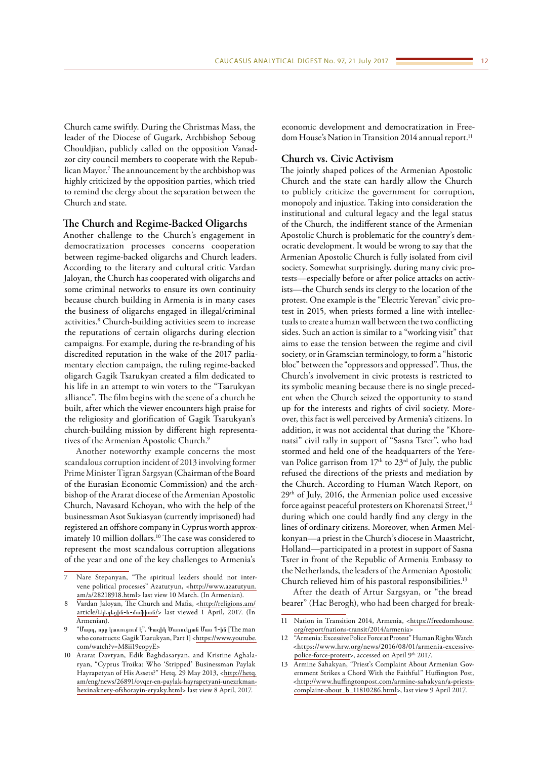Church came swiftly. During the Christmas Mass, the leader of the Diocese of Gugark, Archbishop Seboug Chouldjian, publicly called on the opposition Vanadzor city council members to cooperate with the Republican Mayor.7 The announcement by the archbishop was highly criticized by the opposition parties, which tried to remind the clergy about the separation between the Church and state.

### **The Church and Regime-Backed Oligarchs**

Another challenge to the Church's engagement in democratization processes concerns cooperation between regime-backed oligarchs and Church leaders. According to the literary and cultural critic Vardan Jaloyan, the Church has cooperated with oligarchs and some criminal networks to ensure its own continuity because church building in Armenia is in many cases the business of oligarchs engaged in illegal/criminal activities.8 Church-building activities seem to increase the reputations of certain oligarchs during election campaigns. For example, during the re-branding of his discredited reputation in the wake of the 2017 parliamentary election campaign, the ruling regime-backed oligarch Gagik Tsarukyan created a film dedicated to his life in an attempt to win voters to the "Tsarukyan alliance". The film begins with the scene of a church he built, after which the viewer encounters high praise for the religiosity and glorification of Gagik Tsarukyan's church-building mission by different high representatives of the Armenian Apostolic Church.<sup>9</sup>

Another noteworthy example concerns the most scandalous corruption incident of 2013 involving former Prime Minister Tigran Sargsyan (Chairman of the Board of the Eurasian Economic Commission) and the archbishop of the Ararat diocese of the Armenian Apostolic Church, Navasard Kchoyan, who with the help of the businessman Asot Sukiasyan (currently imprisoned) had registered an offshore company in Cyprus worth approximately 10 million dollars.<sup>10</sup> The case was considered to represent the most scandalous corruption allegations of the year and one of the key challenges to Armenia's

economic development and democratization in Freedom House's Nation in Transition 2014 annual report.<sup>11</sup>

### **Church vs. Civic Activism**

The jointly shaped polices of the Armenian Apostolic Church and the state can hardly allow the Church to publicly criticize the government for corruption, monopoly and injustice. Taking into consideration the institutional and cultural legacy and the legal status of the Church, the indifferent stance of the Armenian Apostolic Church is problematic for the country's democratic development. It would be wrong to say that the Armenian Apostolic Church is fully isolated from civil society. Somewhat surprisingly, during many civic protests—especially before or after police attacks on activists—the Church sends its clergy to the location of the protest. One example is the "Electric Yerevan" civic protest in 2015, when priests formed a line with intellectuals to create a human wall between the two conflicting sides. Such an action is similar to a "working visit" that aims to ease the tension between the regime and civil society, or in Gramscian terminology, to form a "historic bloc" between the "oppressors and oppressed". Thus, the Church's involvement in civic protests is restricted to its symbolic meaning because there is no single precedent when the Church seized the opportunity to stand up for the interests and rights of civil society. Moreover, this fact is well perceived by Armenia's citizens. In addition, it was not accidental that during the "Khorenatsi" civil rally in support of "Sasna Tsrer", who had stormed and held one of the headquarters of the Yerevan Police garrison from  $17<sup>th</sup>$  to  $23<sup>rd</sup>$  of July, the public refused the directions of the priests and mediation by the Church. According to Human Watch Report, on 29th of July, 2016, the Armenian police used excessive force against peaceful protesters on Khorenatsi Street,<sup>12</sup> during which one could hardly find any clergy in the lines of ordinary citizens. Moreover, when Armen Melkonyan—a priest in the Church's diocese in Maastricht, Holland—participated in a protest in support of Sasna Tsrer in front of the Republic of Armenia Embassy to the Netherlands, the leaders of the Armenian Apostolic Church relieved him of his pastoral responsibilities.13

After the death of Artur Sargsyan, or "the bread bearer" (Hac Berogh), who had been charged for break-

Nare Stepanyan, "The spiritual leaders should not intervene political processes" Azatutyun, <[http://www.azatutyun.](http://www.azatutyun.am/a/28218918.html) [am/a/28218918.html](http://www.azatutyun.am/a/28218918.html)> last view 10 March. (In Armenian).

<sup>8</sup> Vardan Jaloyan, The Church and Mafia, <[http://religions.am/](http://religions.am/article/եկեղեցին-և-մաֆիան/) article/[եկեղեցին-և-մաֆիան](http://religions.am/article/եկեղեցին-և-մաֆիան/)/> last viewed 1 April, 2017. (In Armenian).

<sup>9</sup> "Մարդ, որը կառուցում է". Գագիկ Ծառուկյան Մաս 1-ին [The man who constructs: Gagik Tsarukyan, Part 1] [<https://www.youtube.](https://www.youtube.com/watch?v=M8ii19eopyE) [com/watch?v=M8ii19eopyE>](https://www.youtube.com/watch?v=M8ii19eopyE)

<sup>10</sup> Ararat Davtyan, Edik Baghdasaryan, and Kristine Aghalaryan, "Cyprus Troika: Who 'Stripped' Businessman Paylak Hayrapetyan of His Assets?" Hetq, 29 May 2013, [<http://hetq.](http://hetq.am/eng/news/26891/ovqer-en-paylak-hayrapetyani-unezrkman-hexinaknery-ofshorayin-eryaky.html) [am/eng/news/26891/ovqer-en-paylak-hayrapetyani-unezrkman](http://hetq.am/eng/news/26891/ovqer-en-paylak-hayrapetyani-unezrkman-hexinaknery-ofshorayin-eryaky.html)[hexinaknery-ofshorayin-eryaky.html](http://hetq.am/eng/news/26891/ovqer-en-paylak-hayrapetyani-unezrkman-hexinaknery-ofshorayin-eryaky.html)> last view 8 April, 2017.

<sup>11</sup> Nation in Transition 2014, Armenia, <[https://freedomhouse.](https://freedomhouse.org/report/nations-transit/2014/armenia) [org/report/nations-transit/2014/armenia](https://freedomhouse.org/report/nations-transit/2014/armenia)>

<sup>12</sup> "Armenia: Excessive Police Force at Protest" Human Rights Watch <[https://www.hrw.org/news/2016/08/01/armenia-excessive](https://www.hrw.org/news/2016/08/01/armenia-excessive-police-force-protest)[police-force-protest](https://www.hrw.org/news/2016/08/01/armenia-excessive-police-force-protest)>, accessed on April 9<sup>th</sup> 2017.

<sup>13</sup> Armine Sahakyan, "Priest's Complaint About Armenian Government Strikes a Chord With the Faithful" Huffington Post, [<http://www.huffingtonpost.com/armine-sahakyan/a-priests](http://www.huffingtonpost.com/armine-sahakyan/a-priests-complaint-about_b_11810286.html)[complaint-about\\_b\\_11810286.html>](http://www.huffingtonpost.com/armine-sahakyan/a-priests-complaint-about_b_11810286.html), last view 9 April 2017.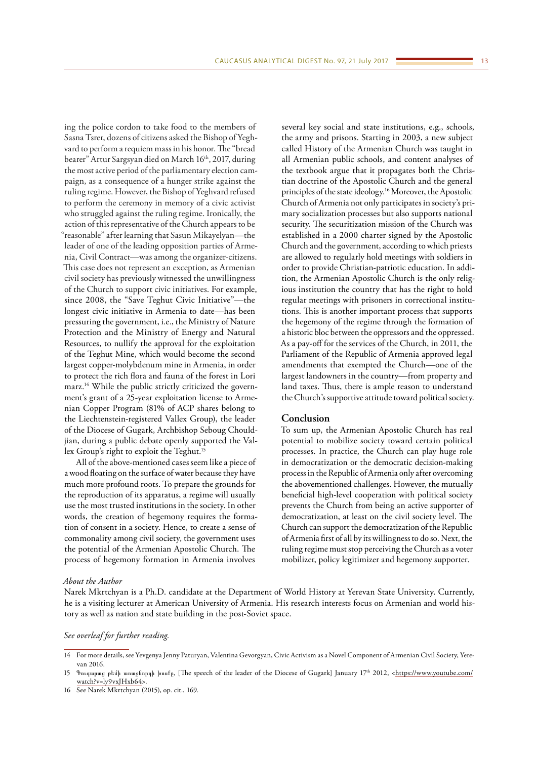ing the police cordon to take food to the members of Sasna Tsrer, dozens of citizens asked the Bishop of Yeghvard to perform a requiem mass in his honor. The "bread bearer" Artur Sargsyan died on March 16<sup>th</sup>, 2017, during the most active period of the parliamentary election campaign, as a consequence of a hunger strike against the ruling regime. However, the Bishop of Yeghvard refused to perform the ceremony in memory of a civic activist who struggled against the ruling regime. Ironically, the action of this representative of the Church appears to be "reasonable" after learning that Sasun Mikayelyan—the leader of one of the leading opposition parties of Armenia, Civil Contract—was among the organizer-citizens. This case does not represent an exception, as Armenian civil society has previously witnessed the unwillingness of the Church to support civic initiatives. For example, since 2008, the "Save Teghut Civic Initiative"—the longest civic initiative in Armenia to date—has been pressuring the government, i.e., the Ministry of Nature Protection and the Ministry of Energy and Natural Resources, to nullify the approval for the exploitation of the Teghut Mine, which would become the second largest copper-molybdenum mine in Armenia, in order to protect the rich flora and fauna of the forest in Lori

marz.14 While the public strictly criticized the government's grant of a 25-year exploitation license to Armenian Copper Program (81% of ACP shares belong to the Liechtenstein-registered Vallex Group), the leader of the Diocese of Gugark, Archbishop Seboug Chouldjian, during a public debate openly supported the Vallex Group's right to exploit the Teghut.15

All of the above-mentioned cases seem like a piece of a wood floating on the surface of water because they have much more profound roots. To prepare the grounds for the reproduction of its apparatus, a regime will usually use the most trusted institutions in the society. In other words, the creation of hegemony requires the formation of consent in a society. Hence, to create a sense of commonality among civil society, the government uses the potential of the Armenian Apostolic Church. The process of hegemony formation in Armenia involves

several key social and state institutions, e.g., schools, the army and prisons. Starting in 2003, a new subject called History of the Armenian Church was taught in all Armenian public schools, and content analyses of the textbook argue that it propagates both the Christian doctrine of the Apostolic Church and the general principles of the state ideology.16 Moreover, the Apostolic Church of Armenia not only participates in society's primary socialization processes but also supports national security. The securitization mission of the Church was established in a 2000 charter signed by the Apostolic Church and the government, according to which priests are allowed to regularly hold meetings with soldiers in order to provide Christian-patriotic education. In addition, the Armenian Apostolic Church is the only religious institution the country that has the right to hold regular meetings with prisoners in correctional institutions. This is another important process that supports the hegemony of the regime through the formation of a historic bloc between the oppressors and the oppressed. As a pay-off for the services of the Church, in 2011, the Parliament of the Republic of Armenia approved legal amendments that exempted the Church—one of the largest landowners in the country—from property and land taxes. Thus, there is ample reason to understand the Church's supportive attitude toward political society.

## **Conclusion**

To sum up, the Armenian Apostolic Church has real potential to mobilize society toward certain political processes. In practice, the Church can play huge role in democratization or the democratic decision-making process in the Republic of Armenia only after overcoming the abovementioned challenges. However, the mutually beneficial high-level cooperation with political society prevents the Church from being an active supporter of democratization, at least on the civil society level. The Church can support the democratization of the Republic of Armenia first of all by its willingness to do so. Next, the ruling regime must stop perceiving the Church as a voter mobilizer, policy legitimizer and hegemony supporter.

#### *About the Author*

Narek Mkrtchyan is a Ph.D. candidate at the Department of World History at Yerevan State University. Currently, he is a visiting lecturer at American University of Armenia. His research interests focus on Armenian and world history as well as nation and state building in the post-Soviet space.

## *See overleaf for further reading.*

<sup>14</sup> For more details, see Yevgenya Jenny Paturyan, Valentina Gevorgyan, Civic Activism as a Novel Component of Armenian Civil Society, Yerevan 2016.

<sup>15</sup> Գուգարաց թեմի առաջնորդի խոսքը, [The speech of the leader of the Diocese of Gugark] January 17th 2012, [<https://www.youtube.com/](https://www.youtube.com/watch?v=ly9vxJHxb64) [watch?v=ly9vxJHxb64](https://www.youtube.com/watch?v=ly9vxJHxb64)>.

<sup>16</sup> See Narek Mkrtchyan (2015), op. cit., 169.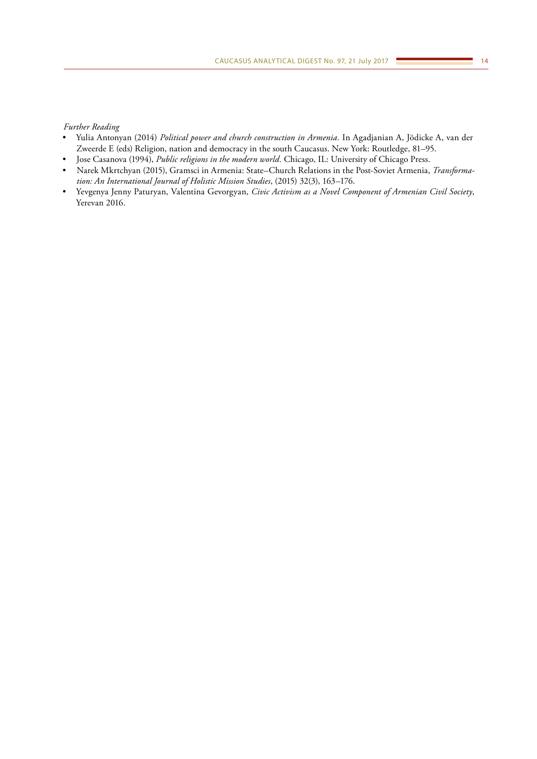## *Further Reading*

- Yulia Antonyan (2014) *Political power and church construction in Armenia.* In Agadjanian A, Jödicke A, van der Zweerde E (eds) Religion, nation and democracy in the south Caucasus. New York: Routledge, 81–95.
- Jose Casanova (1994), *Public religions in the modern world.* Chicago, IL: University of Chicago Press.
- Narek Mkrtchyan (2015), Gramsci in Armenia: State–Church Relations in the Post-Soviet Armenia, *Transformation: An International Journal of Holistic Mission Studies*, (2015) 32(3), 163–176.
- Yevgenya Jenny Paturyan, Valentina Gevorgyan, *Civic Activism as a Novel Component of Armenian Civil Society*, Yerevan 2016.